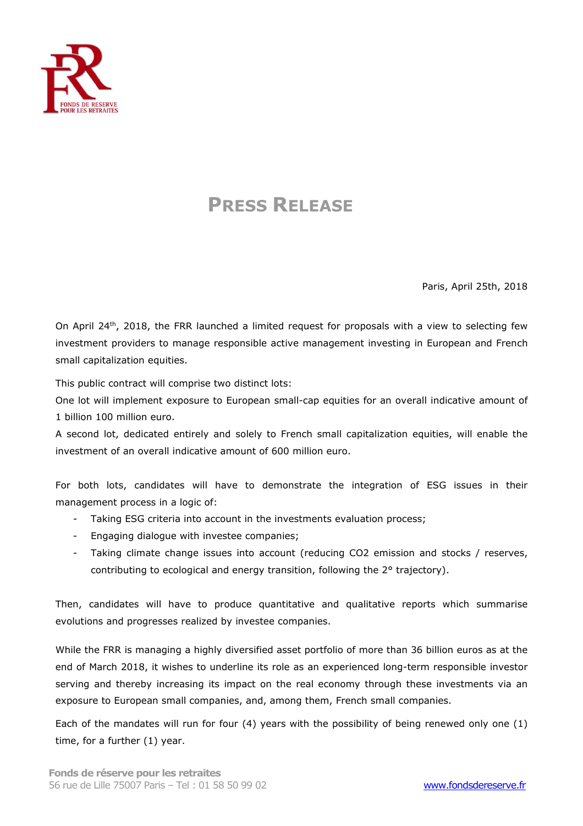

## **PRESS RELEASE**

Paris, April 25th, 2018

On April 24<sup>th</sup>, 2018, the FRR launched a limited request for proposals with a view to selecting few investment providers to manage responsible active management investing in European and French small capitalization equities.

This public contract will comprise two distinct lots:

One lot will implement exposure to European small-cap equities for an overall indicative amount of 1 billion 100 million euro.

A second lot, dedicated entirely and solely to French small capitalization equities, will enable the investment of an overall indicative amount of 600 million euro.

For both lots, candidates will have to demonstrate the integration of ESG issues in their management process in a logic of:

- Taking ESG criteria into account in the investments evaluation process;
- Engaging dialogue with investee companies;
- Taking climate change issues into account (reducing CO2 emission and stocks / reserves, contributing to ecological and energy transition, following the 2° trajectory).

Then, candidates will have to produce quantitative and qualitative reports which summarise evolutions and progresses realized by investee companies.

While the FRR is managing a highly diversified asset portfolio of more than 36 billion euros as at the end of March 2018, it wishes to underline its role as an experienced long-term responsible investor serving and thereby increasing its impact on the real economy through these investments via an exposure to European small companies, and, among them, French small companies.

Each of the mandates will run for four (4) years with the possibility of being renewed only one (1) time, for a further (1) year.